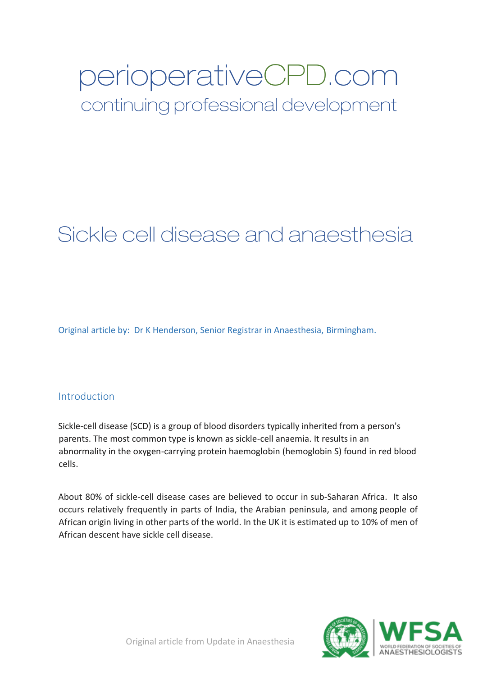# perioperativeCPD.com

continuing professional development

# Sickle cell disease and anaesthesia

Original article by: Dr K Henderson, Senior Registrar in Anaesthesia, Birmingham.

# **Introduction**

Sickle-cell disease (SCD) is a group of blood disorders typically inherited from a person's parents. The most common type is known as sickle-cell anaemia. It results in an abnormality in the oxygen-carrying protein haemoglobin (hemoglobin S) found in red blood cells.

About 80% of sickle-cell disease cases are believed to occur in sub-Saharan Africa. It also occurs relatively frequently in parts of India, the Arabian peninsula, and among people of African origin living in other parts of the world. In the UK it is estimated up to 10% of men of African descent have sickle cell disease.

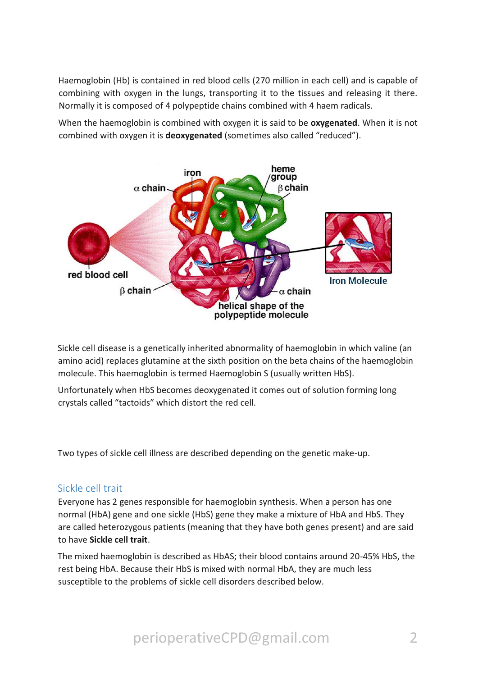Haemoglobin (Hb) is contained in red blood cells (270 million in each cell) and is capable of combining with oxygen in the lungs, transporting it to the tissues and releasing it there. Normally it is composed of 4 polypeptide chains combined with 4 haem radicals.

When the haemoglobin is combined with oxygen it is said to be **oxygenated**. When it is not combined with oxygen it is **deoxygenated** (sometimes also called "reduced").



Sickle cell disease is a genetically inherited abnormality of haemoglobin in which valine (an amino acid) replaces glutamine at the sixth position on the beta chains of the haemoglobin molecule. This haemoglobin is termed Haemoglobin S (usually written HbS).

Unfortunately when HbS becomes deoxygenated it comes out of solution forming long crystals called "tactoids" which distort the red cell.

Two types of sickle cell illness are described depending on the genetic make-up.

#### Sickle cell trait

Everyone has 2 genes responsible for haemoglobin synthesis. When a person has one normal (HbA) gene and one sickle (HbS) gene they make a mixture of HbA and HbS. They are called heterozygous patients (meaning that they have both genes present) and are said to have **Sickle cell trait**.

The mixed haemoglobin is described as HbAS; their blood contains around 20-45% HbS, the rest being HbA. Because their HbS is mixed with normal HbA, they are much less susceptible to the problems of sickle cell disorders described below.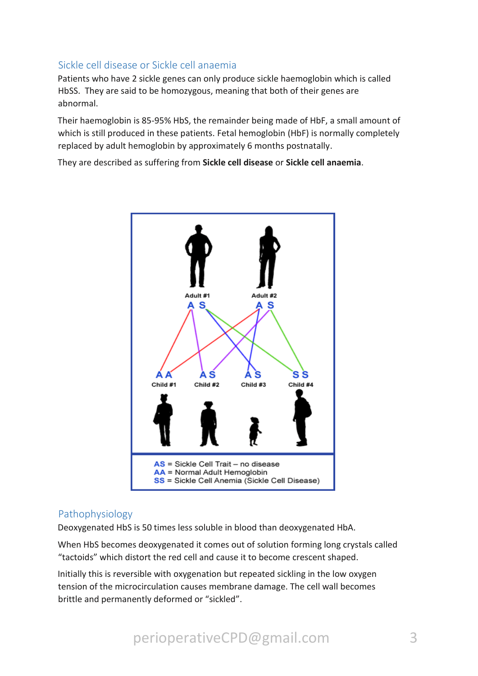# Sickle cell disease or Sickle cell anaemia

Patients who have 2 sickle genes can only produce sickle haemoglobin which is called HbSS. They are said to be homozygous, meaning that both of their genes are abnormal.

Their haemoglobin is 85-95% HbS, the remainder being made of HbF, a small amount of which is still produced in these patients. Fetal hemoglobin (HbF) is normally completely replaced by adult hemoglobin by approximately 6 months postnatally.

They are described as suffering from **Sickle cell disease** or **Sickle cell anaemia**.



#### Pathophysiology

Deoxygenated HbS is 50 times less soluble in blood than deoxygenated HbA.

When HbS becomes deoxygenated it comes out of solution forming long crystals called "tactoids" which distort the red cell and cause it to become crescent shaped.

Initially this is reversible with oxygenation but repeated sickling in the low oxygen tension of the microcirculation causes membrane damage. The cell wall becomes brittle and permanently deformed or "sickled".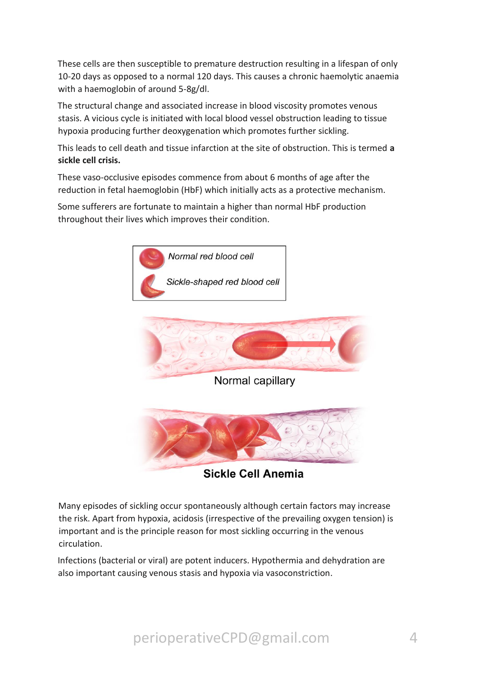These cells are then susceptible to premature destruction resulting in a lifespan of only 10-20 days as opposed to a normal 120 days. This causes a chronic haemolytic anaemia with a haemoglobin of around 5-8g/dl.

The structural change and associated increase in blood viscosity promotes venous stasis. A vicious cycle is initiated with local blood vessel obstruction leading to tissue hypoxia producing further deoxygenation which promotes further sickling.

This leads to cell death and tissue infarction at the site of obstruction. This is termed **a sickle cell crisis.** 

These vaso-occlusive episodes commence from about 6 months of age after the reduction in fetal haemoglobin (HbF) which initially acts as a protective mechanism.

Some sufferers are fortunate to maintain a higher than normal HbF production throughout their lives which improves their condition.





Normal capillary



**Sickle Cell Anemia** 

Many episodes of sickling occur spontaneously although certain factors may increase the risk. Apart from hypoxia, acidosis (irrespective of the prevailing oxygen tension) is important and is the principle reason for most sickling occurring in the venous circulation.

Infections (bacterial or viral) are potent inducers. Hypothermia and dehydration are also important causing venous stasis and hypoxia via vasoconstriction.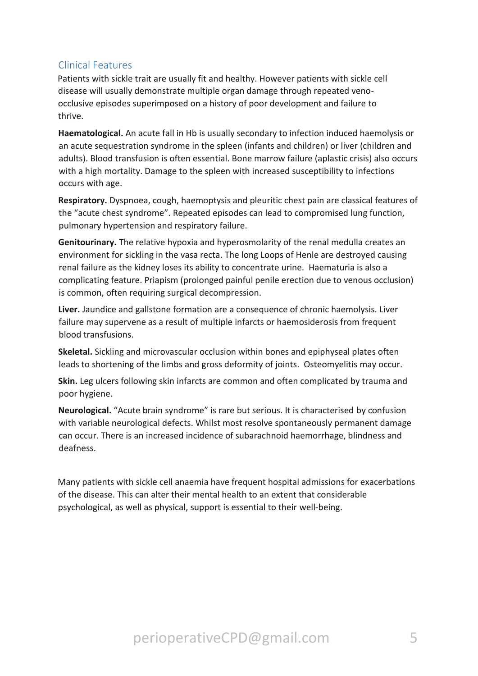# Clinical Features

Patients with sickle trait are usually fit and healthy. However patients with sickle cell disease will usually demonstrate multiple organ damage through repeated venoocclusive episodes superimposed on a history of poor development and failure to thrive.

**Haematological.** An acute fall in Hb is usually secondary to infection induced haemolysis or an acute sequestration syndrome in the spleen (infants and children) or liver (children and adults). Blood transfusion is often essential. Bone marrow failure (aplastic crisis) also occurs with a high mortality. Damage to the spleen with increased susceptibility to infections occurs with age.

**Respiratory.** Dyspnoea, cough, haemoptysis and pleuritic chest pain are classical features of the "acute chest syndrome". Repeated episodes can lead to compromised lung function, pulmonary hypertension and respiratory failure.

**Genitourinary.** The relative hypoxia and hyperosmolarity of the renal medulla creates an environment for sickling in the vasa recta. The long Loops of Henle are destroyed causing renal failure as the kidney loses its ability to concentrate urine. Haematuria is also a complicating feature. Priapism (prolonged painful penile erection due to venous occlusion) is common, often requiring surgical decompression.

**Liver.** Jaundice and gallstone formation are a consequence of chronic haemolysis. Liver failure may supervene as a result of multiple infarcts or haemosiderosis from frequent blood transfusions.

**Skeletal.** Sickling and microvascular occlusion within bones and epiphyseal plates often leads to shortening of the limbs and gross deformity of joints. Osteomyelitis may occur.

**Skin.** Leg ulcers following skin infarcts are common and often complicated by trauma and poor hygiene.

**Neurological.** "Acute brain syndrome" is rare but serious. It is characterised by confusion with variable neurological defects. Whilst most resolve spontaneously permanent damage can occur. There is an increased incidence of subarachnoid haemorrhage, blindness and deafness.

Many patients with sickle cell anaemia have frequent hospital admissions for exacerbations of the disease. This can alter their mental health to an extent that considerable psychological, as well as physical, support is essential to their well-being.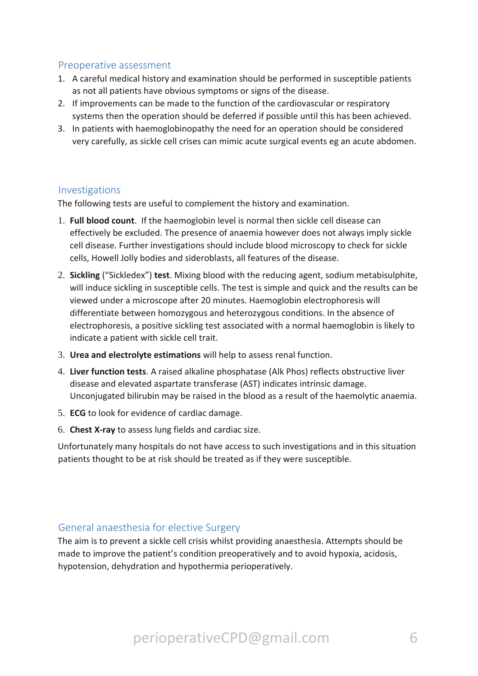### Preoperative assessment

- 1. A careful medical history and examination should be performed in susceptible patients as not all patients have obvious symptoms or signs of the disease.
- 2. If improvements can be made to the function of the cardiovascular or respiratory systems then the operation should be deferred if possible until this has been achieved.
- 3. In patients with haemoglobinopathy the need for an operation should be considered very carefully, as sickle cell crises can mimic acute surgical events eg an acute abdomen.

#### Investigations

The following tests are useful to complement the history and examination.

- 1. **Full blood count**. If the haemoglobin level is normal then sickle cell disease can effectively be excluded. The presence of anaemia however does not always imply sickle cell disease. Further investigations should include blood microscopy to check for sickle cells, Howell Jolly bodies and sideroblasts, all features of the disease.
- 2. **Sickling** ("Sickledex") **test**. Mixing blood with the reducing agent, sodium metabisulphite, will induce sickling in susceptible cells. The test is simple and quick and the results can be viewed under a microscope after 20 minutes. Haemoglobin electrophoresis will differentiate between homozygous and heterozygous conditions. In the absence of electrophoresis, a positive sickling test associated with a normal haemoglobin is likely to indicate a patient with sickle cell trait.
- 3. **Urea and electrolyte estimations** will help to assess renal function.
- 4. **Liver function tests**. A raised alkaline phosphatase (Alk Phos) reflects obstructive liver disease and elevated aspartate transferase (AST) indicates intrinsic damage. Unconjugated bilirubin may be raised in the blood as a result of the haemolytic anaemia.
- 5. **ECG** to look for evidence of cardiac damage.
- 6. **Chest X-ray** to assess lung fields and cardiac size.

Unfortunately many hospitals do not have access to such investigations and in this situation patients thought to be at risk should be treated as if they were susceptible.

#### General anaesthesia for elective Surgery

The aim is to prevent a sickle cell crisis whilst providing anaesthesia. Attempts should be made to improve the patient's condition preoperatively and to avoid hypoxia, acidosis, hypotension, dehydration and hypothermia perioperatively.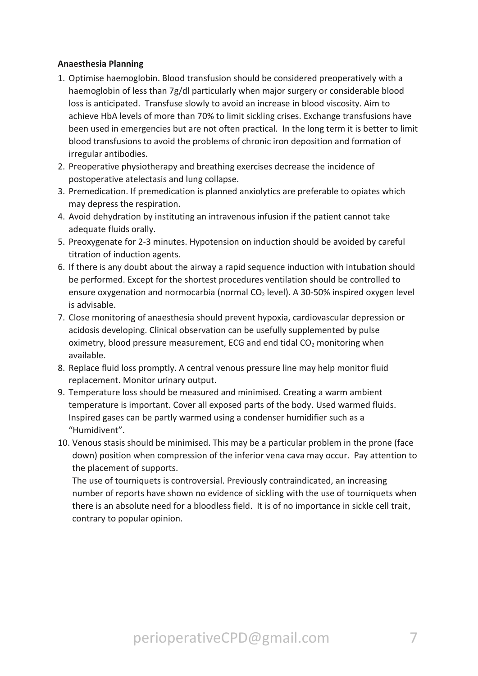#### **Anaesthesia Planning**

- 1. Optimise haemoglobin. Blood transfusion should be considered preoperatively with a haemoglobin of less than 7g/dl particularly when major surgery or considerable blood loss is anticipated. Transfuse slowly to avoid an increase in blood viscosity. Aim to achieve HbA levels of more than 70% to limit sickling crises. Exchange transfusions have been used in emergencies but are not often practical. In the long term it is better to limit blood transfusions to avoid the problems of chronic iron deposition and formation of irregular antibodies.
- 2. Preoperative physiotherapy and breathing exercises decrease the incidence of postoperative atelectasis and lung collapse.
- 3. Premedication. If premedication is planned anxiolytics are preferable to opiates which may depress the respiration.
- 4. Avoid dehydration by instituting an intravenous infusion if the patient cannot take adequate fluids orally.
- 5. Preoxygenate for 2-3 minutes. Hypotension on induction should be avoided by careful titration of induction agents.
- 6. If there is any doubt about the airway a rapid sequence induction with intubation should be performed. Except for the shortest procedures ventilation should be controlled to ensure oxygenation and normocarbia (normal  $CO<sub>2</sub>$  level). A 30-50% inspired oxygen level is advisable.
- 7. Close monitoring of anaesthesia should prevent hypoxia, cardiovascular depression or acidosis developing. Clinical observation can be usefully supplemented by pulse oximetry, blood pressure measurement, ECG and end tidal  $CO<sub>2</sub>$  monitoring when available.
- 8. Replace fluid loss promptly. A central venous pressure line may help monitor fluid replacement. Monitor urinary output.
- 9. Temperature loss should be measured and minimised. Creating a warm ambient temperature is important. Cover all exposed parts of the body. Used warmed fluids. Inspired gases can be partly warmed using a condenser humidifier such as a "Humidivent".
- 10. Venous stasis should be minimised. This may be a particular problem in the prone (face down) position when compression of the inferior vena cava may occur. Pay attention to the placement of supports.

The use of tourniquets is controversial. Previously contraindicated, an increasing number of reports have shown no evidence of sickling with the use of tourniquets when there is an absolute need for a bloodless field. It is of no importance in sickle cell trait, contrary to popular opinion.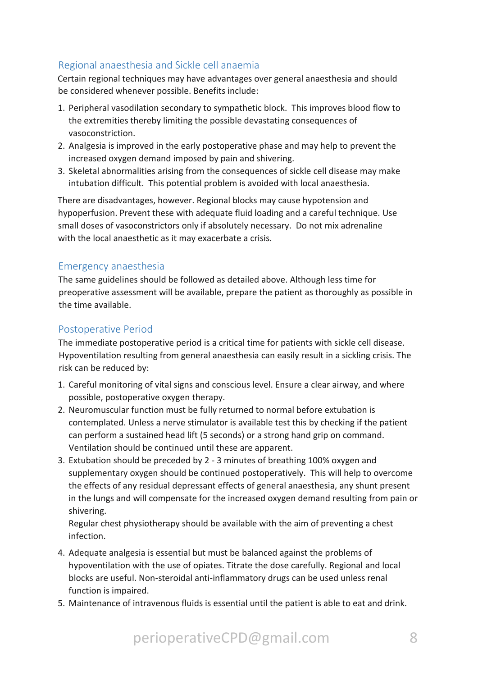# Regional anaesthesia and Sickle cell anaemia

Certain regional techniques may have advantages over general anaesthesia and should be considered whenever possible. Benefits include:

- 1. Peripheral vasodilation secondary to sympathetic block. This improves blood flow to the extremities thereby limiting the possible devastating consequences of vasoconstriction.
- 2. Analgesia is improved in the early postoperative phase and may help to prevent the increased oxygen demand imposed by pain and shivering.
- 3. Skeletal abnormalities arising from the consequences of sickle cell disease may make intubation difficult. This potential problem is avoided with local anaesthesia.

There are disadvantages, however. Regional blocks may cause hypotension and hypoperfusion. Prevent these with adequate fluid loading and a careful technique. Use small doses of vasoconstrictors only if absolutely necessary. Do not mix adrenaline with the local anaesthetic as it may exacerbate a crisis.

# Emergency anaesthesia

The same guidelines should be followed as detailed above. Although less time for preoperative assessment will be available, prepare the patient as thoroughly as possible in the time available.

# Postoperative Period

The immediate postoperative period is a critical time for patients with sickle cell disease. Hypoventilation resulting from general anaesthesia can easily result in a sickling crisis. The risk can be reduced by:

- 1. Careful monitoring of vital signs and conscious level. Ensure a clear airway, and where possible, postoperative oxygen therapy.
- 2. Neuromuscular function must be fully returned to normal before extubation is contemplated. Unless a nerve stimulator is available test this by checking if the patient can perform a sustained head lift (5 seconds) or a strong hand grip on command. Ventilation should be continued until these are apparent.
- 3. Extubation should be preceded by 2 3 minutes of breathing 100% oxygen and supplementary oxygen should be continued postoperatively. This will help to overcome the effects of any residual depressant effects of general anaesthesia, any shunt present in the lungs and will compensate for the increased oxygen demand resulting from pain or shivering.

Regular chest physiotherapy should be available with the aim of preventing a chest infection.

- 4. Adequate analgesia is essential but must be balanced against the problems of hypoventilation with the use of opiates. Titrate the dose carefully. Regional and local blocks are useful. Non-steroidal anti-inflammatory drugs can be used unless renal function is impaired.
- 5. Maintenance of intravenous fluids is essential until the patient is able to eat and drink.